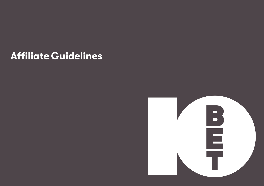# **Affiliate Guidelines**

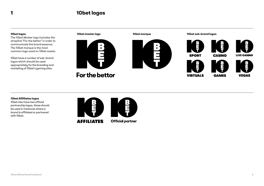## **1 10bet logos**

#### **10bet logos**

The 10bet Master logo includes the strapline **'**For the bettor**'** in order to communicate the brand essence. The 10bet marque is the most common logo used on 10bet assets.

10bet have a number of sub-brand logos which should be used appropriately for the branding and marketing of 10bet's gaming sites.

 $\ddot{\phantom{a}}$ For the bettor



**10bet master logo 10bet marque 10bet sub-brand logos**







**LIVE CASINO** 

**CASINO** 





**10bet Afifiliates logos**

10bet also have two official partnership logos, these should be used in instances where a brand is affiliated or partnered with 10bet.



**AFFILIATES** 

**Official partner**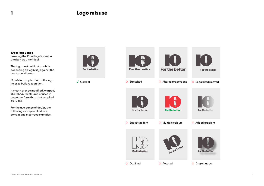### **1 Logo misuse**

**10bet logo usage** Ensuring the 10bet logo is used in the right way is critical.

The logo must be black or white depending on legibility against the background colour.

Consistent application of the logo helps to build recognition.

It must never be modified, warped, stretched, recoloured or used in any other form than that supplied by 10bet.

For the avoidance of doubt, the following examples illustrate correct and incorrect examples.



For the bettor

Correct







For the bettor

**B**<br>F









 $X$  Substitute font

For the bettor

X Outlined X Rotated X Drop shadow



For the bettor

For the bettor

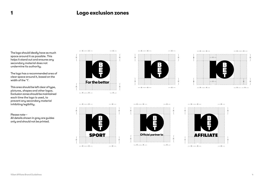## **Logo exclusion zones**

The logo should ideally have as much space around it as possible. This helps it stand out and ensures any secondary material does not undermine its authority.

The logo has a recommended area of clear space around it, based on the width of the '1'.

This area should be left clear of type, pictures, shapes and other logos. Exclusion zones should be maintained each time the logo is used, to prevent any secondary material inhibiting legibility.

#### Please note—

**1**

All details shown in grey are guides only and should not be printed.











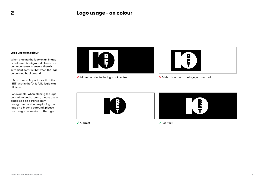## **2 Logo usage - on colour**

#### **Logo usage on colour**

When placing the logo on an image or coloured background please use common sense to ensure there is sufficient contrast between the logo colour and background.

It is of upmost importance that the 'BET' within the '0' is fully legible at all times.

For example, when placing the logo on a white background, please use a black logo on a transparent background and when placing the logo on a black baground, please use a negative version of the logo.





 $\times$  Adds a boarder to the logo, not centred.  $\times$  Adds a boarder to the logo, not centred.





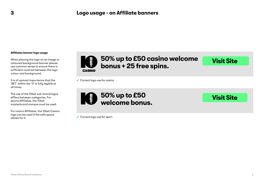#### **Affiliates banner logo usage**

When placing the logo on an image or coloured background banner please use common sense to ensure there is sufficient contrast between the logo colour and background.

It is of upmost importance that the 'BET' within the '0' is fully legible at all times.

The use of the 10bet sub-brand logos differs between categories. For sports Affiliates, the 10bet masterbrand marque must be used.

For casino Affiliates, the 10bet Casino logo can be used if the safe space allows for it



# **50% up to £50 casino welcome bonus + 25 free spins.**

**Visit Site**

**Visit Site**

 $\checkmark$  Correct logo use for casino



 $\checkmark$  Correct logo use for sport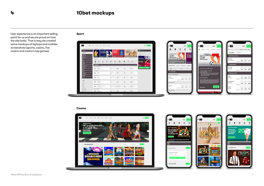## **4 10bet mockups**

User experience is an important selling point for us and we are proud on how the site looks. That is way we created some mockups of laptops and mobiles screenshots (sports, casino, live casino and casino's top games)

**Sport** 



#### **Casino**